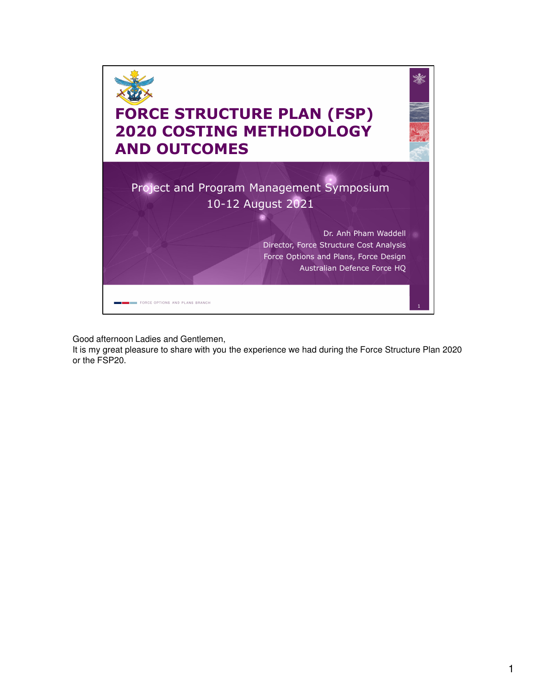

Good afternoon Ladies and Gentlemen,

It is my great pleasure to share with you the experience we had during the Force Structure Plan 2020 or the FSP20.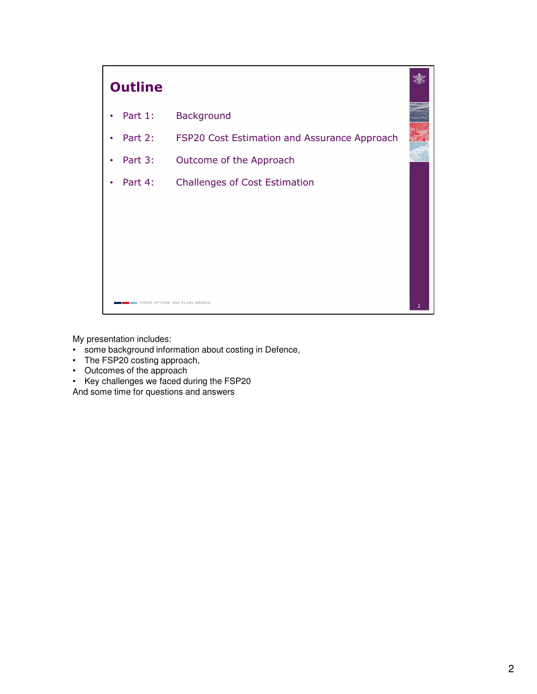

My presentation includes:

- some background information about costing in Defence,
- The FSP20 costing approach,
- Outcomes of the approach
- Key challenges we faced during the FSP20

And some time for questions and answers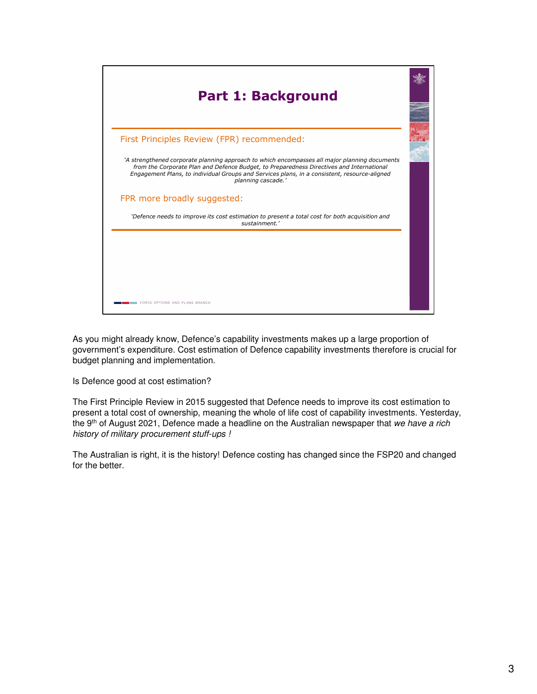

As you might already know, Defence's capability investments makes up a large proportion of government's expenditure. Cost estimation of Defence capability investments therefore is crucial for budget planning and implementation.

Is Defence good at cost estimation?

The First Principle Review in 2015 suggested that Defence needs to improve its cost estimation to present a total cost of ownership, meaning the whole of life cost of capability investments. Yesterday, the 9<sup>th</sup> of August 2021, Defence made a headline on the Australian newspaper that we have a rich history of military procurement stuff-ups !

The Australian is right, it is the history! Defence costing has changed since the FSP20 and changed for the better.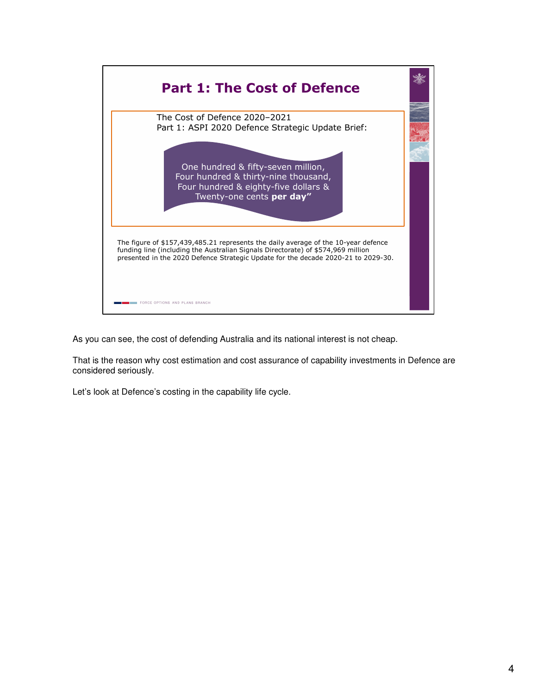

As you can see, the cost of defending Australia and its national interest is not cheap.

That is the reason why cost estimation and cost assurance of capability investments in Defence are considered seriously.

Let's look at Defence's costing in the capability life cycle.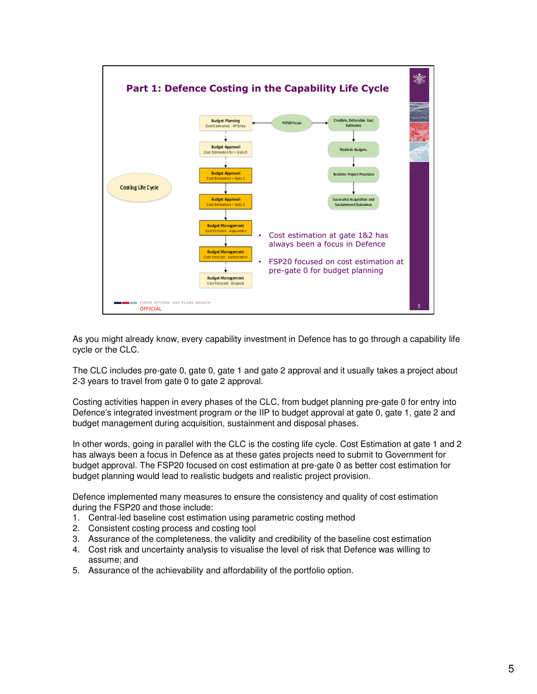

As you might already know, every capability investment in Defence has to go through a capability life cycle or the CLC.

The CLC includes pre-gate 0, gate 0, gate 1 and gate 2 approval and it usually takes a project about 2-3 years to travel from gate 0 to gate 2 approval.

Costing activities happen in every phases of the CLC, from budget planning pre-gate 0 for entry into Defence's integrated investment program or the IIP to budget approval at gate 0, gate 1, gate 2 and budget management during acquisition, sustainment and disposal phases.

In other words, going in parallel with the CLC is the costing life cycle. Cost Estimation at gate 1 and 2 has always been a focus in Defence as at these gates projects need to submit to Government for budget approval. The FSP20 focused on cost estimation at pre-gate 0 as better cost estimation for budget planning would lead to realistic budgets and realistic project provision.

Defence implemented many measures to ensure the consistency and quality of cost estimation during the FSP20 and those include:

- 1. Central-led baseline cost estimation using parametric costing method
- 2. Consistent costing process and costing tool
- 3. Assurance of the completeness, the validity and credibility of the baseline cost estimation
- 4. Cost risk and uncertainty analysis to visualise the level of risk that Defence was willing to assume; and
- 5. Assurance of the achievability and affordability of the portfolio option.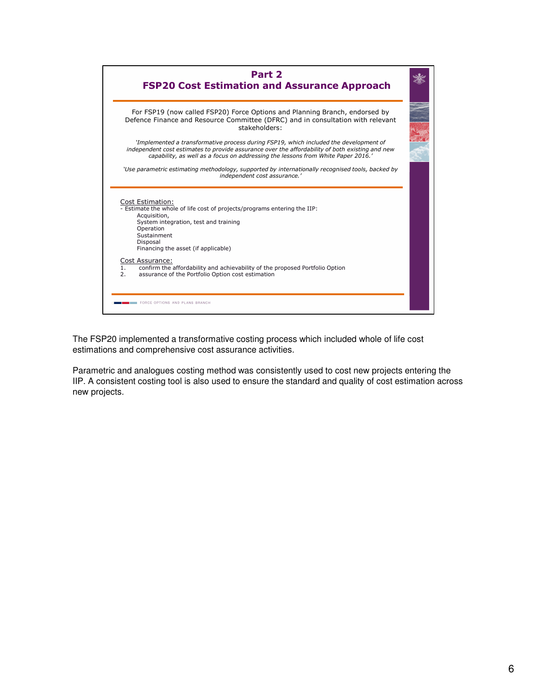

The FSP20 implemented a transformative costing process which included whole of life cost estimations and comprehensive cost assurance activities.

Parametric and analogues costing method was consistently used to cost new projects entering the IIP. A consistent costing tool is also used to ensure the standard and quality of cost estimation across new projects.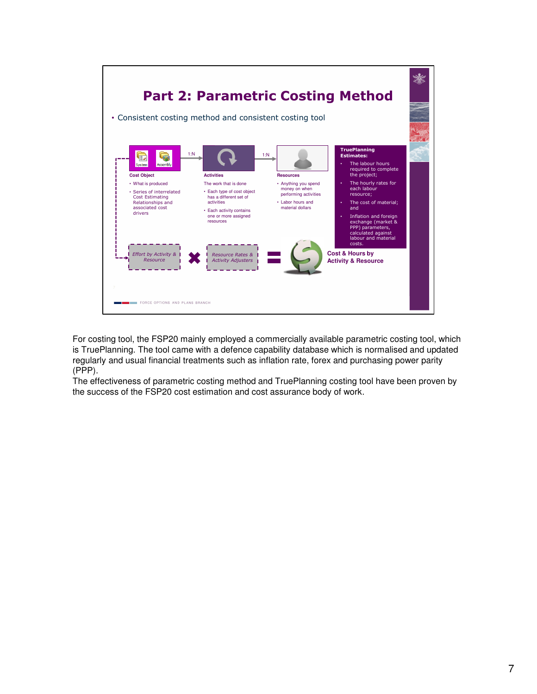

For costing tool, the FSP20 mainly employed a commercially available parametric costing tool, which is TruePlanning. The tool came with a defence capability database which is normalised and updated regularly and usual financial treatments such as inflation rate, forex and purchasing power parity (PPP).

The effectiveness of parametric costing method and TruePlanning costing tool have been proven by the success of the FSP20 cost estimation and cost assurance body of work.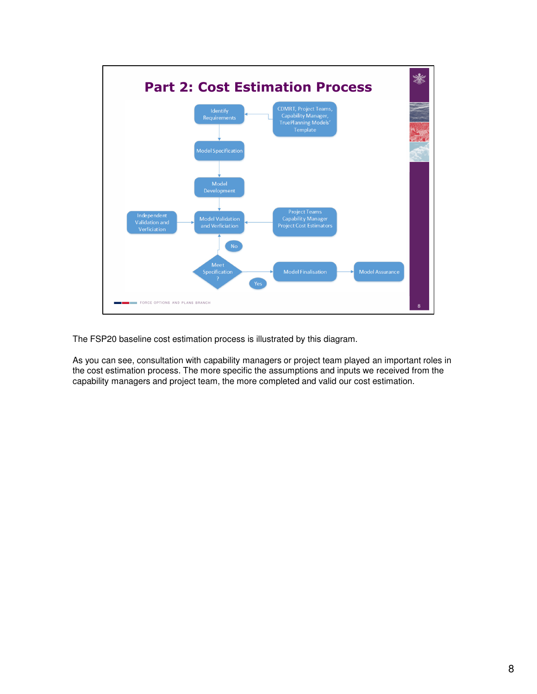

The FSP20 baseline cost estimation process is illustrated by this diagram.

As you can see, consultation with capability managers or project team played an important roles in the cost estimation process. The more specific the assumptions and inputs we received from the capability managers and project team, the more completed and valid our cost estimation.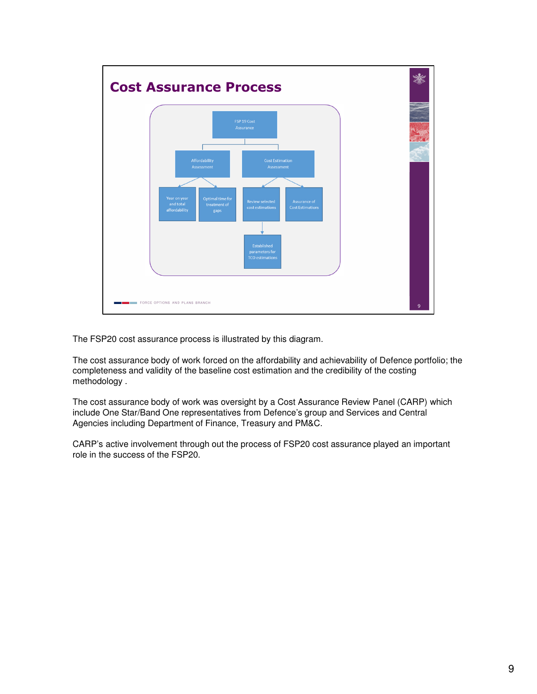

The FSP20 cost assurance process is illustrated by this diagram.

The cost assurance body of work forced on the affordability and achievability of Defence portfolio; the completeness and validity of the baseline cost estimation and the credibility of the costing methodology .

The cost assurance body of work was oversight by a Cost Assurance Review Panel (CARP) which include One Star/Band One representatives from Defence's group and Services and Central Agencies including Department of Finance, Treasury and PM&C.

CARP's active involvement through out the process of FSP20 cost assurance played an important role in the success of the FSP20.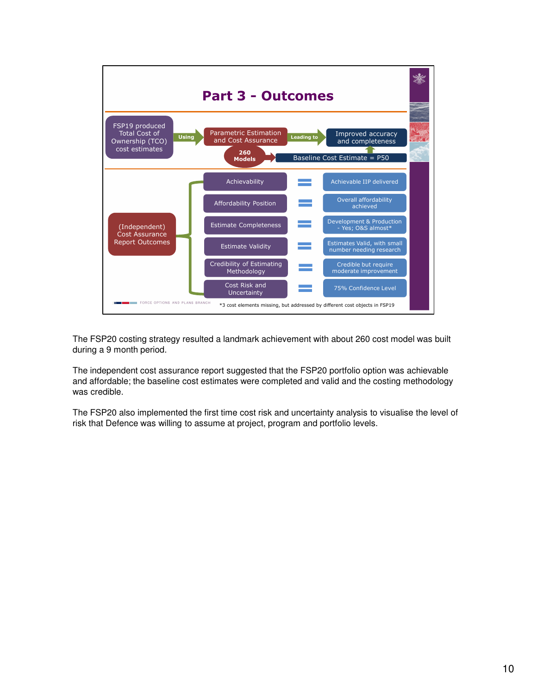

The FSP20 costing strategy resulted a landmark achievement with about 260 cost model was built during a 9 month period.

The independent cost assurance report suggested that the FSP20 portfolio option was achievable and affordable; the baseline cost estimates were completed and valid and the costing methodology was credible.

The FSP20 also implemented the first time cost risk and uncertainty analysis to visualise the level of risk that Defence was willing to assume at project, program and portfolio levels.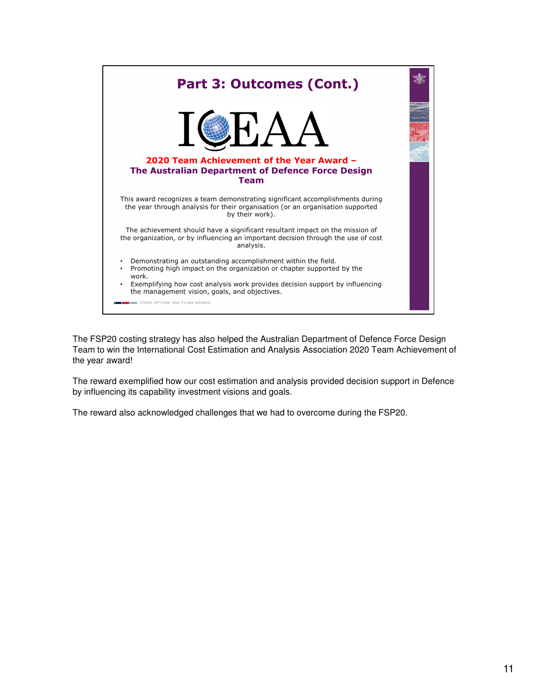

The FSP20 costing strategy has also helped the Australian Department of Defence Force Design Team to win the International Cost Estimation and Analysis Association 2020 Team Achievement of the year award!

The reward exemplified how our cost estimation and analysis provided decision support in Defence by influencing its capability investment visions and goals.

The reward also acknowledged challenges that we had to overcome during the FSP20.